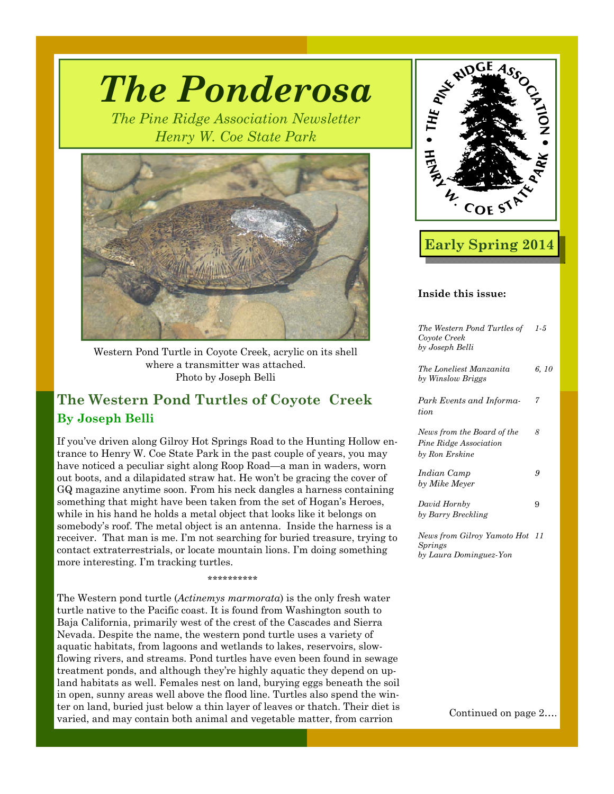

*The Ponderosa* 

*The Pine Ridge Association Newsletter* 

Western Pond Turtle in Coyote Creek, acrylic on its shell where a transmitter was attached. Photo by Joseph Belli

# **The Western Pond Turtles of Coyote Creek By Joseph Belli**

If you've driven along Gilroy Hot Springs Road to the Hunting Hollow entrance to Henry W. Coe State Park in the past couple of years, you may have noticed a peculiar sight along Roop Road—a man in waders, worn out boots, and a dilapidated straw hat. He won't be gracing the cover of GQ magazine anytime soon. From his neck dangles a harness containing something that might have been taken from the set of Hogan's Heroes, while in his hand he holds a metal object that looks like it belongs on somebody's roof. The metal object is an antenna. Inside the harness is a receiver. That man is me. I'm not searching for buried treasure, trying to contact extraterrestrials, or locate mountain lions. I'm doing something more interesting. I'm tracking turtles.

\*\*\*\*\*\*\*\*\*\*

The Western pond turtle (*Actinemys marmorata*) is the only fresh water turtle native to the Pacific coast. It is found from Washington south to Baja California, primarily west of the crest of the Cascades and Sierra Nevada. Despite the name, the western pond turtle uses a variety of aquatic habitats, from lagoons and wetlands to lakes, reservoirs, slowflowing rivers, and streams. Pond turtles have even been found in sewage treatment ponds, and although they're highly aquatic they depend on upland habitats as well. Females nest on land, burying eggs beneath the soil in open, sunny areas well above the flood line. Turtles also spend the winter on land, buried just below a thin layer of leaves or thatch. Their diet is varied, and may contain both animal and vegetable matter, from carrion Continued on page 2...



# **Early Spring 2014**

#### **Inside this issue:**

| The Western Pond Turtles of<br>Coyote Creek<br>by Joseph Belli         | $1-5$ |
|------------------------------------------------------------------------|-------|
| The Loneliest Manzanita<br>by Winslow Briggs                           | 6, 10 |
| Park Events and Informa-<br>tion                                       | 7     |
| News from the Board of the<br>Pine Ridge Association<br>by Ron Erskine | 8     |
| Indian Camp<br>by Mike Meyer                                           | 9     |
| David Hornby<br>by Barry Breckling                                     | 9     |
| News from Gilroy Yamoto Hot<br>Springs                                 | 11    |

*by Laura Dominguez-Yon*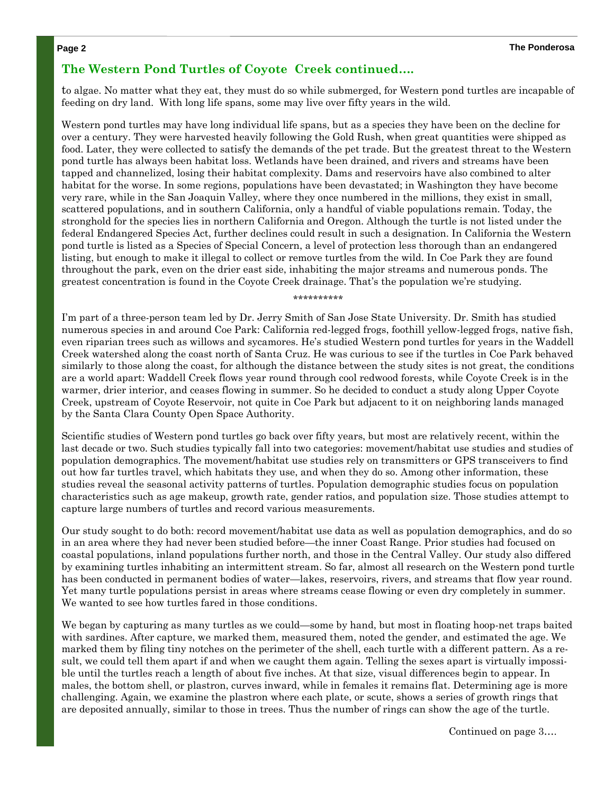### **The Western Pond Turtles of Coyote Creek continued….**

to algae. No matter what they eat, they must do so while submerged, for Western pond turtles are incapable of feeding on dry land. With long life spans, some may live over fifty years in the wild.

Western pond turtles may have long individual life spans, but as a species they have been on the decline for over a century. They were harvested heavily following the Gold Rush, when great quantities were shipped as food. Later, they were collected to satisfy the demands of the pet trade. But the greatest threat to the Western pond turtle has always been habitat loss. Wetlands have been drained, and rivers and streams have been tapped and channelized, losing their habitat complexity. Dams and reservoirs have also combined to alter habitat for the worse. In some regions, populations have been devastated; in Washington they have become very rare, while in the San Joaquin Valley, where they once numbered in the millions, they exist in small, scattered populations, and in southern California, only a handful of viable populations remain. Today, the stronghold for the species lies in northern California and Oregon. Although the turtle is not listed under the federal Endangered Species Act, further declines could result in such a designation. In California the Western pond turtle is listed as a Species of Special Concern, a level of protection less thorough than an endangered listing, but enough to make it illegal to collect or remove turtles from the wild. In Coe Park they are found throughout the park, even on the drier east side, inhabiting the major streams and numerous ponds. The greatest concentration is found in the Coyote Creek drainage. That's the population we're studying.

\*\*\*\*\*\*\*\*\*\*

I'm part of a three-person team led by Dr. Jerry Smith of San Jose State University. Dr. Smith has studied numerous species in and around Coe Park: California red-legged frogs, foothill yellow-legged frogs, native fish, even riparian trees such as willows and sycamores. He's studied Western pond turtles for years in the Waddell Creek watershed along the coast north of Santa Cruz. He was curious to see if the turtles in Coe Park behaved similarly to those along the coast, for although the distance between the study sites is not great, the conditions are a world apart: Waddell Creek flows year round through cool redwood forests, while Coyote Creek is in the warmer, drier interior, and ceases flowing in summer. So he decided to conduct a study along Upper Coyote Creek, upstream of Coyote Reservoir, not quite in Coe Park but adjacent to it on neighboring lands managed by the Santa Clara County Open Space Authority.

Scientific studies of Western pond turtles go back over fifty years, but most are relatively recent, within the last decade or two. Such studies typically fall into two categories: movement/habitat use studies and studies of population demographics. The movement/habitat use studies rely on transmitters or GPS transceivers to find out how far turtles travel, which habitats they use, and when they do so. Among other information, these studies reveal the seasonal activity patterns of turtles. Population demographic studies focus on population characteristics such as age makeup, growth rate, gender ratios, and population size. Those studies attempt to capture large numbers of turtles and record various measurements.

Our study sought to do both: record movement/habitat use data as well as population demographics, and do so in an area where they had never been studied before—the inner Coast Range. Prior studies had focused on coastal populations, inland populations further north, and those in the Central Valley. Our study also differed by examining turtles inhabiting an intermittent stream. So far, almost all research on the Western pond turtle has been conducted in permanent bodies of water—lakes, reservoirs, rivers, and streams that flow year round. Yet many turtle populations persist in areas where streams cease flowing or even dry completely in summer. We wanted to see how turtles fared in those conditions.

We began by capturing as many turtles as we could—some by hand, but most in floating hoop-net traps baited with sardines. After capture, we marked them, measured them, noted the gender, and estimated the age. We marked them by filing tiny notches on the perimeter of the shell, each turtle with a different pattern. As a result, we could tell them apart if and when we caught them again. Telling the sexes apart is virtually impossible until the turtles reach a length of about five inches. At that size, visual differences begin to appear. In males, the bottom shell, or plastron, curves inward, while in females it remains flat. Determining age is more challenging. Again, we examine the plastron where each plate, or scute, shows a series of growth rings that are deposited annually, similar to those in trees. Thus the number of rings can show the age of the turtle.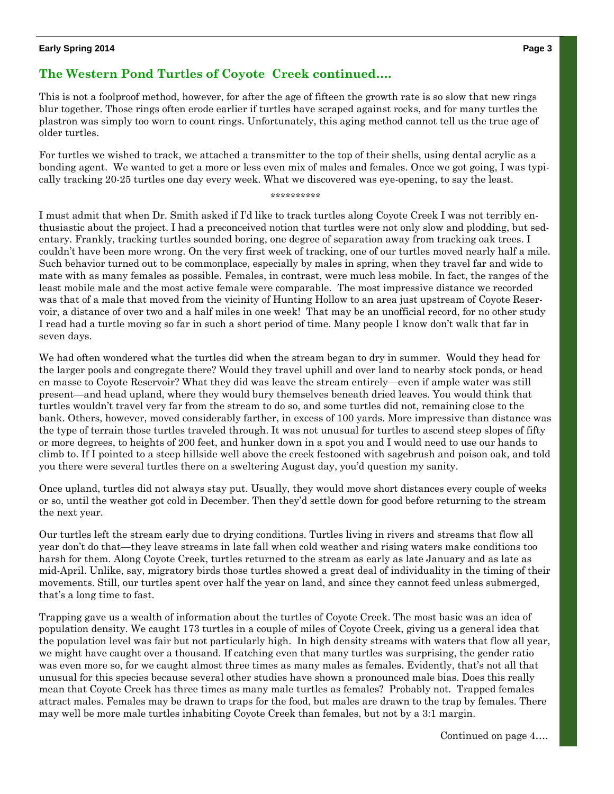#### **Early Spring 2014 Page 3**

## **The Western Pond Turtles of Coyote Creek continued….**

This is not a foolproof method, however, for after the age of fifteen the growth rate is so slow that new rings blur together. Those rings often erode earlier if turtles have scraped against rocks, and for many turtles the plastron was simply too worn to count rings. Unfortunately, this aging method cannot tell us the true age of older turtles.

For turtles we wished to track, we attached a transmitter to the top of their shells, using dental acrylic as a bonding agent. We wanted to get a more or less even mix of males and females. Once we got going, I was typically tracking 20-25 turtles one day every week. What we discovered was eye-opening, to say the least.

#### \*\*\*\*\*\*\*\*\*\*

I must admit that when Dr. Smith asked if I'd like to track turtles along Coyote Creek I was not terribly enthusiastic about the project. I had a preconceived notion that turtles were not only slow and plodding, but sedentary. Frankly, tracking turtles sounded boring, one degree of separation away from tracking oak trees. I couldn't have been more wrong. On the very first week of tracking, one of our turtles moved nearly half a mile. Such behavior turned out to be commonplace, especially by males in spring, when they travel far and wide to mate with as many females as possible. Females, in contrast, were much less mobile. In fact, the ranges of the least mobile male and the most active female were comparable. The most impressive distance we recorded was that of a male that moved from the vicinity of Hunting Hollow to an area just upstream of Coyote Reservoir, a distance of over two and a half miles in one week! That may be an unofficial record, for no other study I read had a turtle moving so far in such a short period of time. Many people I know don't walk that far in seven days.

We had often wondered what the turtles did when the stream began to dry in summer. Would they head for the larger pools and congregate there? Would they travel uphill and over land to nearby stock ponds, or head en masse to Coyote Reservoir? What they did was leave the stream entirely—even if ample water was still present—and head upland, where they would bury themselves beneath dried leaves. You would think that turtles wouldn't travel very far from the stream to do so, and some turtles did not, remaining close to the bank. Others, however, moved considerably farther, in excess of 100 yards. More impressive than distance was the type of terrain those turtles traveled through. It was not unusual for turtles to ascend steep slopes of fifty or more degrees, to heights of 200 feet, and hunker down in a spot you and I would need to use our hands to climb to. If I pointed to a steep hillside well above the creek festooned with sagebrush and poison oak, and told you there were several turtles there on a sweltering August day, you'd question my sanity.

Once upland, turtles did not always stay put. Usually, they would move short distances every couple of weeks or so, until the weather got cold in December. Then they'd settle down for good before returning to the stream the next year.

Our turtles left the stream early due to drying conditions. Turtles living in rivers and streams that flow all year don't do that—they leave streams in late fall when cold weather and rising waters make conditions too harsh for them. Along Coyote Creek, turtles returned to the stream as early as late January and as late as mid-April. Unlike, say, migratory birds those turtles showed a great deal of individuality in the timing of their movements. Still, our turtles spent over half the year on land, and since they cannot feed unless submerged, that's a long time to fast.

Trapping gave us a wealth of information about the turtles of Coyote Creek. The most basic was an idea of population density. We caught 173 turtles in a couple of miles of Coyote Creek, giving us a general idea that the population level was fair but not particularly high. In high density streams with waters that flow all year, we might have caught over a thousand. If catching even that many turtles was surprising, the gender ratio was even more so, for we caught almost three times as many males as females. Evidently, that's not all that unusual for this species because several other studies have shown a pronounced male bias. Does this really mean that Coyote Creek has three times as many male turtles as females? Probably not. Trapped females attract males. Females may be drawn to traps for the food, but males are drawn to the trap by females. There may well be more male turtles inhabiting Coyote Creek than females, but not by a 3:1 margin.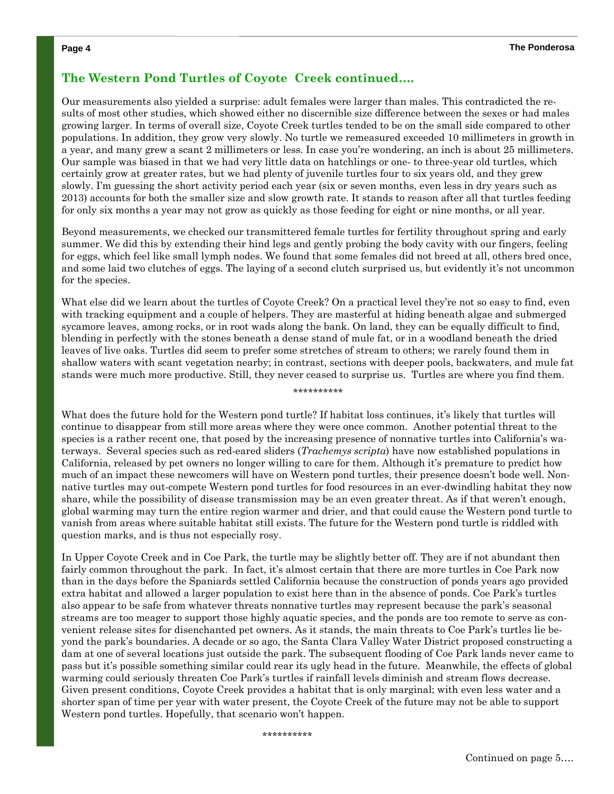### **The Western Pond Turtles of Coyote Creek continued….**

Our measurements also yielded a surprise: adult females were larger than males. This contradicted the results of most other studies, which showed either no discernible size difference between the sexes or had males growing larger. In terms of overall size, Coyote Creek turtles tended to be on the small side compared to other populations. In addition, they grow very slowly. No turtle we remeasured exceeded 10 millimeters in growth in a year, and many grew a scant 2 millimeters or less. In case you're wondering, an inch is about 25 millimeters. Our sample was biased in that we had very little data on hatchlings or one- to three-year old turtles, which certainly grow at greater rates, but we had plenty of juvenile turtles four to six years old, and they grew slowly. I'm guessing the short activity period each year (six or seven months, even less in dry years such as 2013) accounts for both the smaller size and slow growth rate. It stands to reason after all that turtles feeding for only six months a year may not grow as quickly as those feeding for eight or nine months, or all year.

Beyond measurements, we checked our transmittered female turtles for fertility throughout spring and early summer. We did this by extending their hind legs and gently probing the body cavity with our fingers, feeling for eggs, which feel like small lymph nodes. We found that some females did not breed at all, others bred once, and some laid two clutches of eggs. The laying of a second clutch surprised us, but evidently it's not uncommon for the species.

What else did we learn about the turtles of Coyote Creek? On a practical level they're not so easy to find, even with tracking equipment and a couple of helpers. They are masterful at hiding beneath algae and submerged sycamore leaves, among rocks, or in root wads along the bank. On land, they can be equally difficult to find, blending in perfectly with the stones beneath a dense stand of mule fat, or in a woodland beneath the dried leaves of live oaks. Turtles did seem to prefer some stretches of stream to others; we rarely found them in shallow waters with scant vegetation nearby; in contrast, sections with deeper pools, backwaters, and mule fat stands were much more productive. Still, they never ceased to surprise us. Turtles are where you find them.

\*\*\*\*\*\*\*\*\*\*

What does the future hold for the Western pond turtle? If habitat loss continues, it's likely that turtles will continue to disappear from still more areas where they were once common. Another potential threat to the species is a rather recent one, that posed by the increasing presence of nonnative turtles into California's waterways. Several species such as red-eared sliders (*Trachemys scripta*) have now established populations in California, released by pet owners no longer willing to care for them. Although it's premature to predict how much of an impact these newcomers will have on Western pond turtles, their presence doesn't bode well. Nonnative turtles may out-compete Western pond turtles for food resources in an ever-dwindling habitat they now share, while the possibility of disease transmission may be an even greater threat. As if that weren't enough, global warming may turn the entire region warmer and drier, and that could cause the Western pond turtle to vanish from areas where suitable habitat still exists. The future for the Western pond turtle is riddled with question marks, and is thus not especially rosy.

In Upper Coyote Creek and in Coe Park, the turtle may be slightly better off. They are if not abundant then fairly common throughout the park. In fact, it's almost certain that there are more turtles in Coe Park now than in the days before the Spaniards settled California because the construction of ponds years ago provided extra habitat and allowed a larger population to exist here than in the absence of ponds. Coe Park's turtles also appear to be safe from whatever threats nonnative turtles may represent because the park's seasonal streams are too meager to support those highly aquatic species, and the ponds are too remote to serve as convenient release sites for disenchanted pet owners. As it stands, the main threats to Coe Park's turtles lie beyond the park's boundaries. A decade or so ago, the Santa Clara Valley Water District proposed constructing a dam at one of several locations just outside the park. The subsequent flooding of Coe Park lands never came to pass but it's possible something similar could rear its ugly head in the future. Meanwhile, the effects of global warming could seriously threaten Coe Park's turtles if rainfall levels diminish and stream flows decrease. Given present conditions, Coyote Creek provides a habitat that is only marginal; with even less water and a shorter span of time per year with water present, the Coyote Creek of the future may not be able to support Western pond turtles. Hopefully, that scenario won't happen.

\*\*\*\*\*\*\*\*\*\*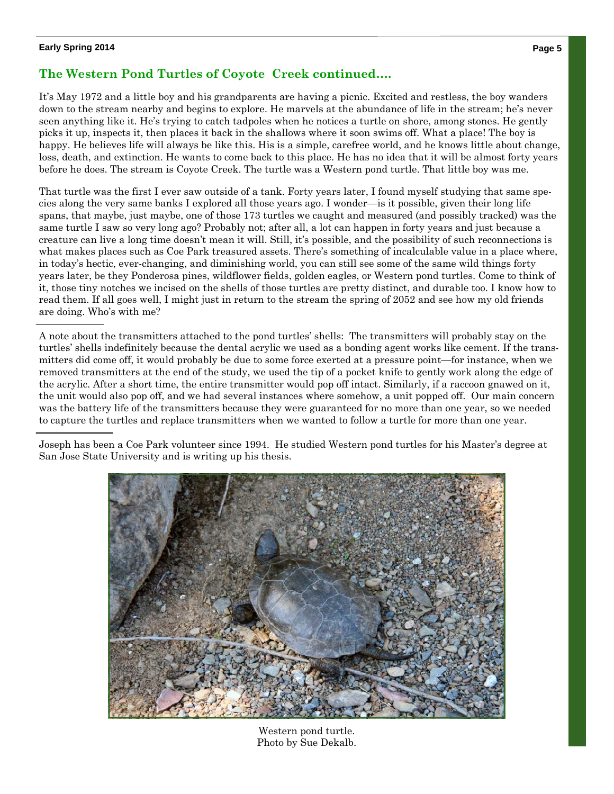#### **Early Spring 2014 Page 5**

# **The Western Pond Turtles of Coyote Creek continued….**

It's May 1972 and a little boy and his grandparents are having a picnic. Excited and restless, the boy wanders down to the stream nearby and begins to explore. He marvels at the abundance of life in the stream; he's never seen anything like it. He's trying to catch tadpoles when he notices a turtle on shore, among stones. He gently picks it up, inspects it, then places it back in the shallows where it soon swims off. What a place! The boy is happy. He believes life will always be like this. His is a simple, carefree world, and he knows little about change, loss, death, and extinction. He wants to come back to this place. He has no idea that it will be almost forty years before he does. The stream is Coyote Creek. The turtle was a Western pond turtle. That little boy was me.

That turtle was the first I ever saw outside of a tank. Forty years later, I found myself studying that same species along the very same banks I explored all those years ago. I wonder—is it possible, given their long life spans, that maybe, just maybe, one of those 173 turtles we caught and measured (and possibly tracked) was the same turtle I saw so very long ago? Probably not; after all, a lot can happen in forty years and just because a creature can live a long time doesn't mean it will. Still, it's possible, and the possibility of such reconnections is what makes places such as Coe Park treasured assets. There's something of incalculable value in a place where, in today's hectic, ever-changing, and diminishing world, you can still see some of the same wild things forty years later, be they Ponderosa pines, wildflower fields, golden eagles, or Western pond turtles. Come to think of it, those tiny notches we incised on the shells of those turtles are pretty distinct, and durable too. I know how to read them. If all goes well, I might just in return to the stream the spring of 2052 and see how my old friends are doing. Who's with me?

A note about the transmitters attached to the pond turtles' shells: The transmitters will probably stay on the turtles' shells indefinitely because the dental acrylic we used as a bonding agent works like cement. If the transmitters did come off, it would probably be due to some force exerted at a pressure point—for instance, when we removed transmitters at the end of the study, we used the tip of a pocket knife to gently work along the edge of the acrylic. After a short time, the entire transmitter would pop off intact. Similarly, if a raccoon gnawed on it, the unit would also pop off, and we had several instances where somehow, a unit popped off. Our main concern was the battery life of the transmitters because they were guaranteed for no more than one year, so we needed to capture the turtles and replace transmitters when we wanted to follow a turtle for more than one year.

Joseph has been a Coe Park volunteer since 1994. He studied Western pond turtles for his Master's degree at San Jose State University and is writing up his thesis.



Western pond turtle. Photo by Sue Dekalb.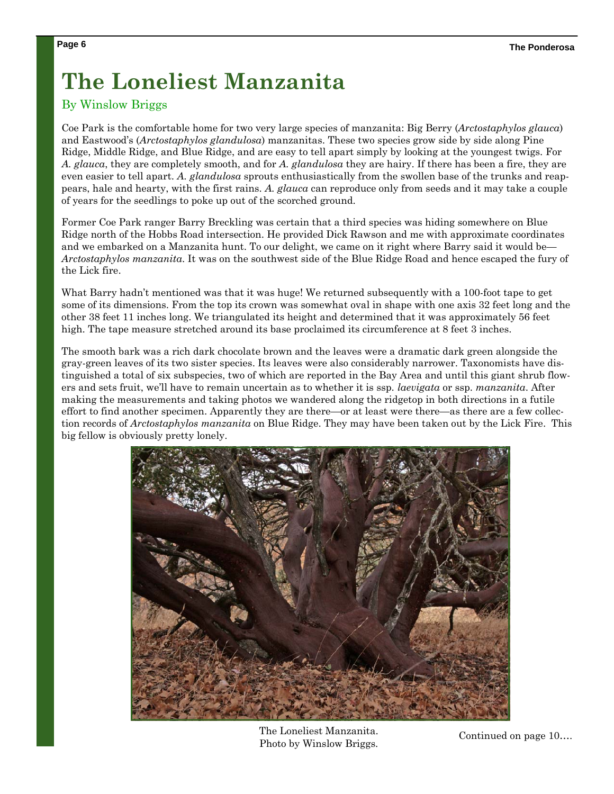# **The Loneliest Manzanita**

## By Winslow Briggs

Coe Park is the comfortable home for two very large species of manzanita: Big Berry (*Arctostaphylos glauca*) and Eastwood's (*Arctostaphylos glandulosa*) manzanitas. These two species grow side by side along Pine Ridge, Middle Ridge, and Blue Ridge, and are easy to tell apart simply by looking at the youngest twigs. For *A. glauca*, they are completely smooth, and for *A. glandulosa* they are hairy. If there has been a fire, they are even easier to tell apart. *A. glandulosa* sprouts enthusiastically from the swollen base of the trunks and reappears, hale and hearty, with the first rains. *A. glauca* can reproduce only from seeds and it may take a couple of years for the seedlings to poke up out of the scorched ground.

Former Coe Park ranger Barry Breckling was certain that a third species was hiding somewhere on Blue Ridge north of the Hobbs Road intersection. He provided Dick Rawson and me with approximate coordinates and we embarked on a Manzanita hunt. To our delight, we came on it right where Barry said it would be— *Arctostaphylos manzanita*. It was on the southwest side of the Blue Ridge Road and hence escaped the fury of the Lick fire.

What Barry hadn't mentioned was that it was huge! We returned subsequently with a 100-foot tape to get some of its dimensions. From the top its crown was somewhat oval in shape with one axis 32 feet long and the other 38 feet 11 inches long. We triangulated its height and determined that it was approximately 56 feet high. The tape measure stretched around its base proclaimed its circumference at 8 feet 3 inches.

The smooth bark was a rich dark chocolate brown and the leaves were a dramatic dark green alongside the gray-green leaves of its two sister species. Its leaves were also considerably narrower. Taxonomists have distinguished a total of six subspecies, two of which are reported in the Bay Area and until this giant shrub flowers and sets fruit, we'll have to remain uncertain as to whether it is ssp. *laevigata* or ssp. *manzanita*. After making the measurements and taking photos we wandered along the ridgetop in both directions in a futile effort to find another specimen. Apparently they are there—or at least were there—as there are a few collection records of *Arctostaphylos manzanita* on Blue Ridge. They may have been taken out by the Lick Fire. This big fellow is obviously pretty lonely.



 The Loneliest Manzanita. The Lonenest Manzanita.<br>Photo by Winslow Briggs.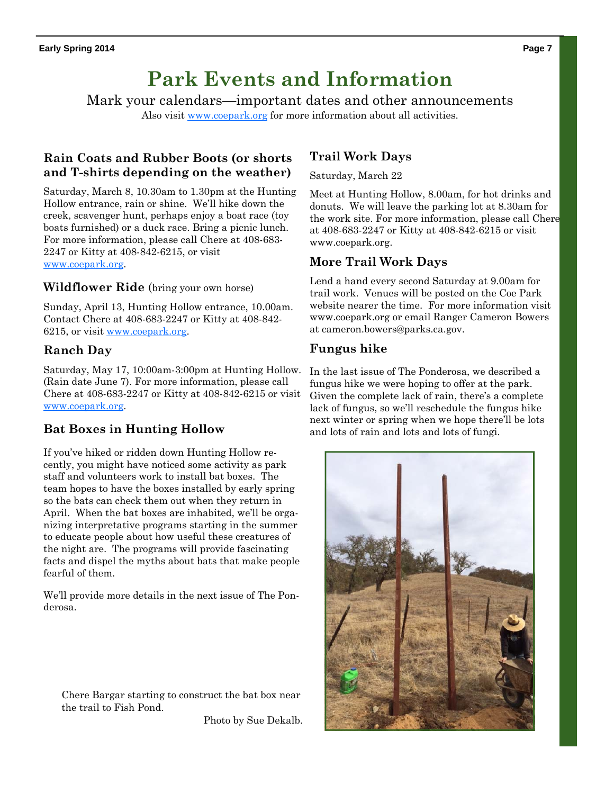# **Park Events and Information**

Mark your calendars—important dates and other announcements

Also visit www.coepark.org for more information about all activities.

## **Rain Coats and Rubber Boots (or shorts and T-shirts depending on the weather)**

Saturday, March 8, 10.30am to 1.30pm at the Hunting Hollow entrance, rain or shine. We'll hike down the creek, scavenger hunt, perhaps enjoy a boat race (toy boats furnished) or a duck race. Bring a picnic lunch. For more information, please call Chere at 408-683- 2247 or Kitty at 408-842-6215, or visit www.coepark.org.

#### **Wildflower Ride** (bring your own horse)

Sunday, April 13, Hunting Hollow entrance, 10.00am. Contact Chere at 408-683-2247 or Kitty at 408-842- 6215, or visit www.coepark.org.

### **Ranch Day**

Saturday, May 17, 10:00am-3:00pm at Hunting Hollow. (Rain date June 7). For more information, please call Chere at 408-683-2247 or Kitty at 408-842-6215 or visit www.coepark.org.

## **Bat Boxes in Hunting Hollow**

If you've hiked or ridden down Hunting Hollow recently, you might have noticed some activity as park staff and volunteers work to install bat boxes. The team hopes to have the boxes installed by early spring so the bats can check them out when they return in April. When the bat boxes are inhabited, we'll be organizing interpretative programs starting in the summer to educate people about how useful these creatures of the night are. The programs will provide fascinating facts and dispel the myths about bats that make people fearful of them.

We'll provide more details in the next issue of The Ponderosa.

Chere Bargar starting to construct the bat box near the trail to Fish Pond.

Photo by Sue Dekalb.

### **Trail Work Days**

#### Saturday, March 22

Meet at Hunting Hollow, 8.00am, for hot drinks and donuts. We will leave the parking lot at 8.30am for the work site. For more information, please call Chere at 408-683-2247 or Kitty at 408-842-6215 or visit www.coepark.org.

#### **More Trail Work Days**

Lend a hand every second Saturday at 9.00am for trail work. Venues will be posted on the Coe Park website nearer the time. For more information visit www.coepark.org or email Ranger Cameron Bowers at cameron.bowers@parks.ca.gov.

#### **Fungus hike**

In the last issue of The Ponderosa, we described a fungus hike we were hoping to offer at the park. Given the complete lack of rain, there's a complete lack of fungus, so we'll reschedule the fungus hike next winter or spring when we hope there'll be lots and lots of rain and lots and lots of fungi.

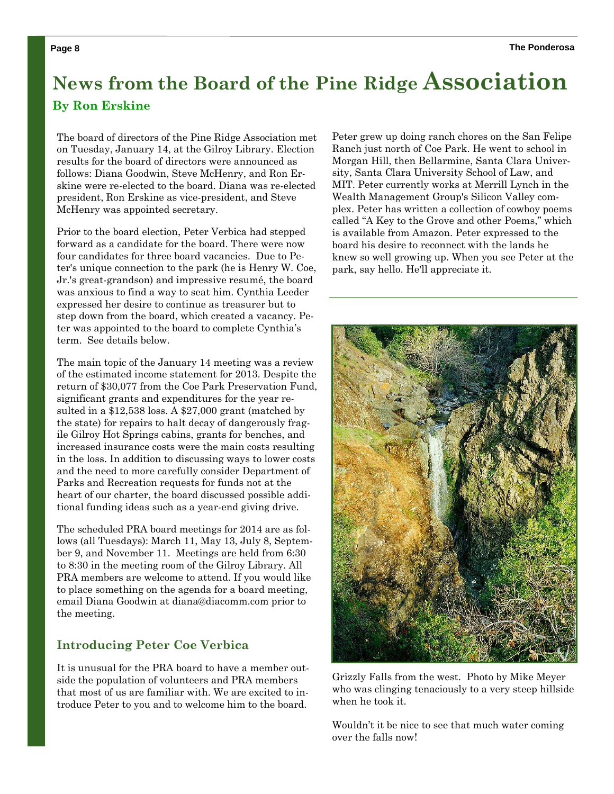# **News from the Board of the Pine Ridge Association By Ron Erskine**

The board of directors of the Pine Ridge Association met on Tuesday, January 14, at the Gilroy Library. Election results for the board of directors were announced as follows: Diana Goodwin, Steve McHenry, and Ron Erskine were re-elected to the board. Diana was re-elected president, Ron Erskine as vice-president, and Steve McHenry was appointed secretary.

Prior to the board election, Peter Verbica had stepped forward as a candidate for the board. There were now four candidates for three board vacancies. Due to Peter's unique connection to the park (he is Henry W. Coe, Jr.'s great-grandson) and impressive resumé, the board was anxious to find a way to seat him. Cynthia Leeder expressed her desire to continue as treasurer but to step down from the board, which created a vacancy. Peter was appointed to the board to complete Cynthia's term. See details below.

The main topic of the January 14 meeting was a review of the estimated income statement for 2013. Despite the return of \$30,077 from the Coe Park Preservation Fund, significant grants and expenditures for the year resulted in a \$12,538 loss. A \$27,000 grant (matched by the state) for repairs to halt decay of dangerously fragile Gilroy Hot Springs cabins, grants for benches, and increased insurance costs were the main costs resulting in the loss. In addition to discussing ways to lower costs and the need to more carefully consider Department of Parks and Recreation requests for funds not at the heart of our charter, the board discussed possible additional funding ideas such as a year-end giving drive.

The scheduled PRA board meetings for 2014 are as follows (all Tuesdays): March 11, May 13, July 8, September 9, and November 11. Meetings are held from 6:30 to 8:30 in the meeting room of the Gilroy Library. All PRA members are welcome to attend. If you would like to place something on the agenda for a board meeting, email Diana Goodwin at diana@diacomm.com prior to the meeting.

#### **Introducing Peter Coe Verbica**

It is unusual for the PRA board to have a member outside the population of volunteers and PRA members that most of us are familiar with. We are excited to introduce Peter to you and to welcome him to the board.

Peter grew up doing ranch chores on the San Felipe Ranch just north of Coe Park. He went to school in Morgan Hill, then Bellarmine, Santa Clara University, Santa Clara University School of Law, and MIT. Peter currently works at Merrill Lynch in the Wealth Management Group's Silicon Valley complex. Peter has written a collection of cowboy poems called "A Key to the Grove and other Poems," which is available from Amazon. Peter expressed to the board his desire to reconnect with the lands he knew so well growing up. When you see Peter at the park, say hello. He'll appreciate it.



Grizzly Falls from the west. Photo by Mike Meyer who was clinging tenaciously to a very steep hillside when he took it.

Wouldn't it be nice to see that much water coming over the falls now!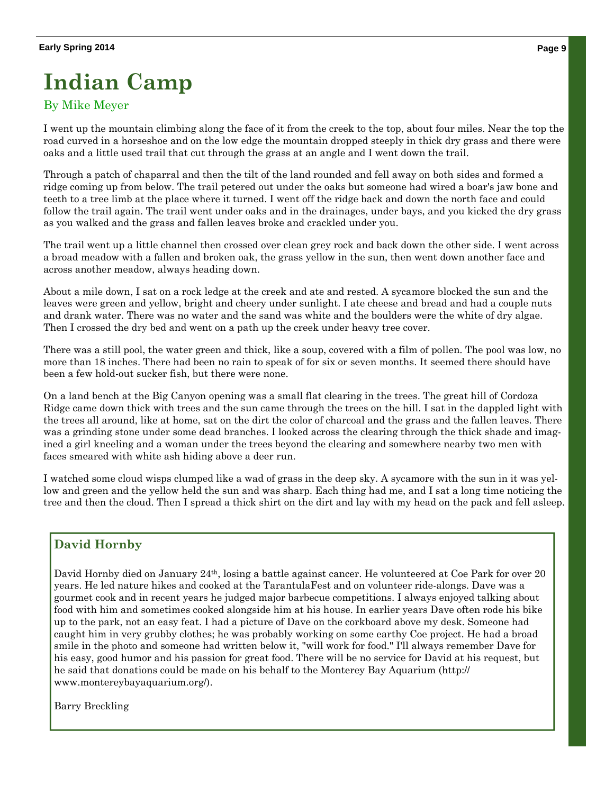# **Indian Camp**

## By Mike Meyer

I went up the mountain climbing along the face of it from the creek to the top, about four miles. Near the top the road curved in a horseshoe and on the low edge the mountain dropped steeply in thick dry grass and there were oaks and a little used trail that cut through the grass at an angle and I went down the trail.

Through a patch of chaparral and then the tilt of the land rounded and fell away on both sides and formed a ridge coming up from below. The trail petered out under the oaks but someone had wired a boar's jaw bone and teeth to a tree limb at the place where it turned. I went off the ridge back and down the north face and could follow the trail again. The trail went under oaks and in the drainages, under bays, and you kicked the dry grass as you walked and the grass and fallen leaves broke and crackled under you.

The trail went up a little channel then crossed over clean grey rock and back down the other side. I went across a broad meadow with a fallen and broken oak, the grass yellow in the sun, then went down another face and across another meadow, always heading down.

About a mile down, I sat on a rock ledge at the creek and ate and rested. A sycamore blocked the sun and the leaves were green and yellow, bright and cheery under sunlight. I ate cheese and bread and had a couple nuts and drank water. There was no water and the sand was white and the boulders were the white of dry algae. Then I crossed the dry bed and went on a path up the creek under heavy tree cover.

There was a still pool, the water green and thick, like a soup, covered with a film of pollen. The pool was low, no more than 18 inches. There had been no rain to speak of for six or seven months. It seemed there should have been a few hold-out sucker fish, but there were none.

On a land bench at the Big Canyon opening was a small flat clearing in the trees. The great hill of Cordoza Ridge came down thick with trees and the sun came through the trees on the hill. I sat in the dappled light with the trees all around, like at home, sat on the dirt the color of charcoal and the grass and the fallen leaves. There was a grinding stone under some dead branches. I looked across the clearing through the thick shade and imagined a girl kneeling and a woman under the trees beyond the clearing and somewhere nearby two men with faces smeared with white ash hiding above a deer run.

I watched some cloud wisps clumped like a wad of grass in the deep sky. A sycamore with the sun in it was yellow and green and the yellow held the sun and was sharp. Each thing had me, and I sat a long time noticing the tree and then the cloud. Then I spread a thick shirt on the dirt and lay with my head on the pack and fell asleep.

# **David Hornby**

David Hornby died on January 24<sup>th</sup>, losing a battle against cancer. He volunteered at Coe Park for over 20 years. He led nature hikes and cooked at the TarantulaFest and on volunteer ride-alongs. Dave was a gourmet cook and in recent years he judged major barbecue competitions. I always enjoyed talking about food with him and sometimes cooked alongside him at his house. In earlier years Dave often rode his bike up to the park, not an easy feat. I had a picture of Dave on the corkboard above my desk. Someone had caught him in very grubby clothes; he was probably working on some earthy Coe project. He had a broad smile in the photo and someone had written below it, "will work for food." I'll always remember Dave for his easy, good humor and his passion for great food. There will be no service for David at his request, but he said that donations could be made on his behalf to the Monterey Bay Aquarium (http:// www.montereybayaquarium.org/).

Barry Breckling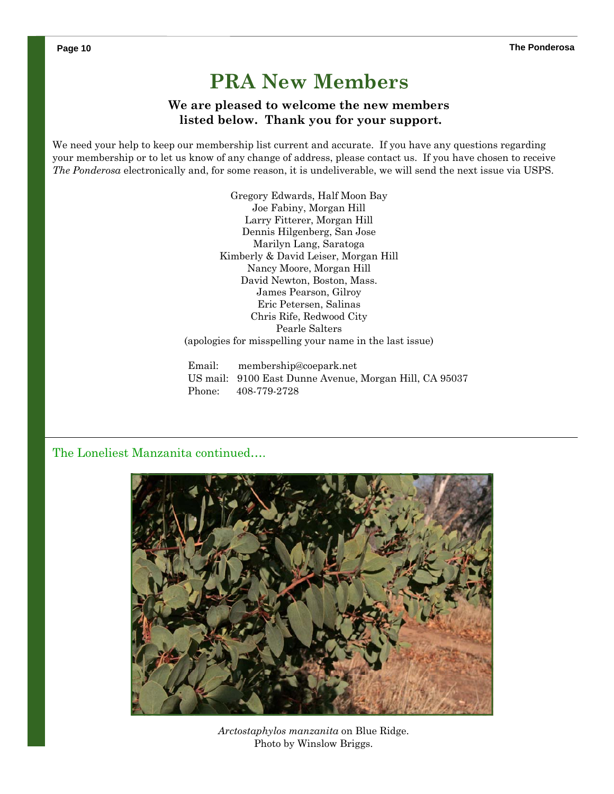# **PRA New Members**

#### **We are pleased to welcome the new members listed below. Thank you for your support.**

We need your help to keep our membership list current and accurate. If you have any questions regarding your membership or to let us know of any change of address, please contact us. If you have chosen to receive *The Ponderosa* electronically and, for some reason, it is undeliverable, we will send the next issue via USPS.

> Gregory Edwards, Half Moon Bay Joe Fabiny, Morgan Hill Larry Fitterer, Morgan Hill Dennis Hilgenberg, San Jose Marilyn Lang, Saratoga Kimberly & David Leiser, Morgan Hill Nancy Moore, Morgan Hill David Newton, Boston, Mass. James Pearson, Gilroy Eric Petersen, Salinas Chris Rife, Redwood City Pearle Salters (apologies for misspelling your name in the last issue)

Email: membership@coepark.net US mail: 9100 East Dunne Avenue, Morgan Hill, CA 95037 Phone: 408-779-2728

#### The Loneliest Manzanita continued….



*Arctostaphylos manzanita* on Blue Ridge. Photo by Winslow Briggs.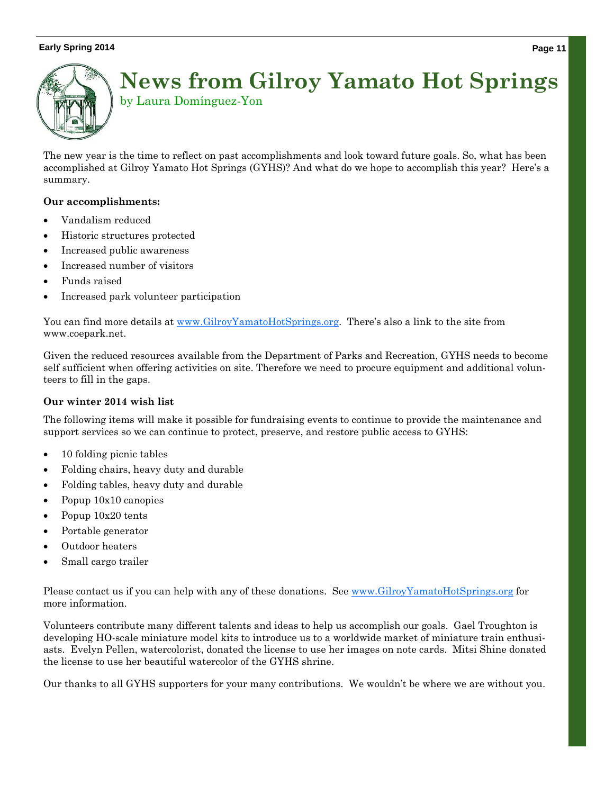#### **Early Spring 2014** Page 11 **Page 11** Page 11 **Page 11** Page 11 **Page 11**



# **News from Gilroy Yamato Hot Springs**  by Laura Domínguez-Yon

The new year is the time to reflect on past accomplishments and look toward future goals. So, what has been accomplished at Gilroy Yamato Hot Springs (GYHS)? And what do we hope to accomplish this year? Here's a summary.

#### **Our accomplishments:**

- Vandalism reduced
- Historic structures protected
- Increased public awareness
- Increased number of visitors
- Funds raised
- Increased park volunteer participation

You can find more details at www.GilroyYamatoHotSprings.org. There's also a link to the site from www.coepark.net.

Given the reduced resources available from the Department of Parks and Recreation, GYHS needs to become self sufficient when offering activities on site. Therefore we need to procure equipment and additional volunteers to fill in the gaps.

#### **Our winter 2014 wish list**

The following items will make it possible for fundraising events to continue to provide the maintenance and support services so we can continue to protect, preserve, and restore public access to GYHS:

- 10 folding picnic tables
- Folding chairs, heavy duty and durable
- Folding tables, heavy duty and durable
- Popup  $10x10$  canopies
- Popup  $10x20$  tents
- Portable generator
- Outdoor heaters
- Small cargo trailer

Please contact us if you can help with any of these donations. See www.GilroyYamatoHotSprings.org for more information.

Volunteers contribute many different talents and ideas to help us accomplish our goals. Gael Troughton is developing HO-scale miniature model kits to introduce us to a worldwide market of miniature train enthusiasts. Evelyn Pellen, watercolorist, donated the license to use her images on note cards. Mitsi Shine donated the license to use her beautiful watercolor of the GYHS shrine.

Our thanks to all GYHS supporters for your many contributions. We wouldn't be where we are without you.